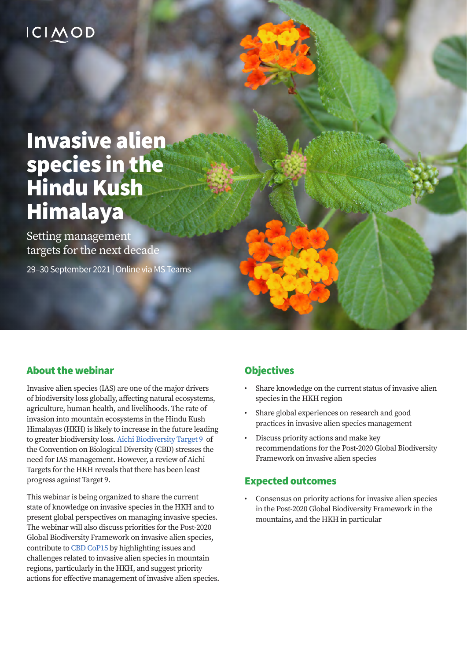# **ICIMOD**

# Invasive alien species in the Hindu Kush Himalaya

Setting management targets for the next decade

29–30 September 2021 | Online via MS Teams

## About the webinar

Invasive alien species (IAS) are one of the major drivers of biodiversity loss globally, affecting natural ecosystems, agriculture, human health, and livelihoods. The rate of invasion into mountain ecosystems in the Hindu Kush Himalayas (HKH) is likely to increase in the future leading to greater biodiversity loss. [Aichi Biodiversity Target 9](https://www.cbd.int/doc/strategic-plan/targets/T9-quick-guide-en.pdf) of the Convention on Biological Diversity (CBD) stresses the need for IAS management. However, a review of Aichi Targets for the HKH reveals that there has been least progress against Target 9.

This webinar is being organized to share the current state of knowledge on invasive species in the HKH and to present global perspectives on managing invasive species. The webinar will also discuss priorities for the Post-2020 Global Biodiversity Framework on invasive alien species, contribute to [CBD CoP15](https://www.icimod.org/events/cbd/cop15/) by highlighting issues and challenges related to invasive alien species in mountain regions, particularly in the HKH, and suggest priority actions for effective management of invasive alien species.

## **Objectives**

- Share knowledge on the current status of invasive alien species in the HKH region
- Share global experiences on research and good practices in invasive alien species management
- Discuss priority actions and make key recommendations for the Post-2020 Global Biodiversity Framework on invasive alien species

#### Expected outcomes

• Consensus on priority actions for invasive alien species in the Post-2020 Global Biodiversity Framework in the mountains, and the HKH in particular